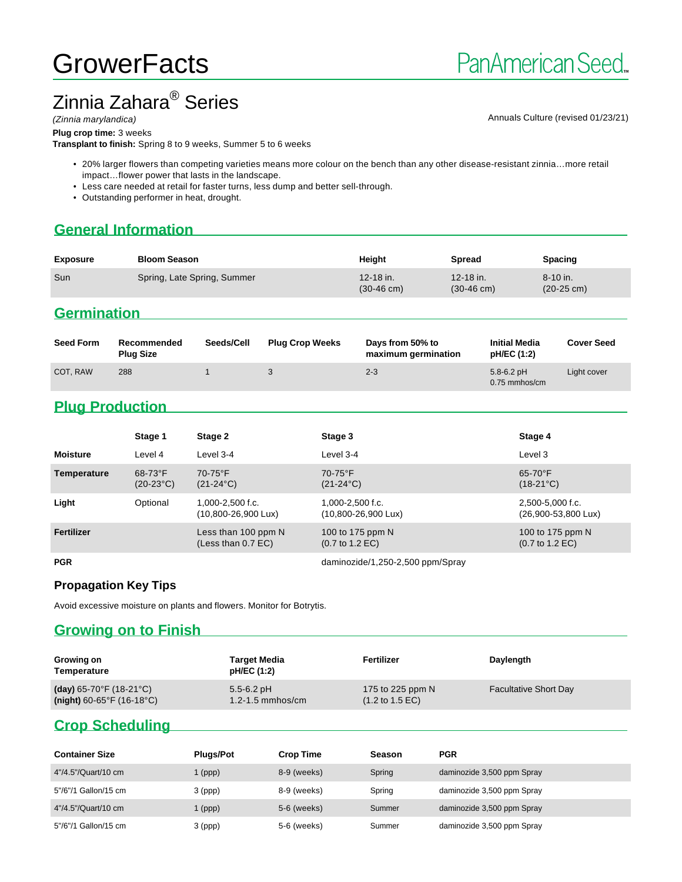# **GrowerFacts**

# Zinnia Zahara<sup>®</sup> Series

(Zinnia marylandica) and the control of the control of the control of the control of the control of the control of the control of  $\alpha$ nnuals Culture (revised 01/23/21)

**Plug crop time:** 3 weeks

**Transplant to finish:** Spring 8 to 9 weeks, Summer 5 to 6 weeks

- 20% larger flowers than competing varieties means more colour on the bench than any other disease-resistant zinnia…more retail impact…flower power that lasts in the landscape.
- Less care needed at retail for faster turns, less dump and better sell-through.
- Outstanding performer in heat, drought.

# **General Information**

| Sun<br>Spring, Late Spring, Summer<br>$12 - 18$ in.<br>12-18 in.<br>$8-10$ in. | <b>Exposure</b> | <b>Bloom Season</b> | Height | <b>Spread</b> | <b>Spacing</b> |  |
|--------------------------------------------------------------------------------|-----------------|---------------------|--------|---------------|----------------|--|
| $(20-25 \text{ cm})$<br>$(30-46 \text{ cm})$<br>$(30-46 \text{ cm})$           |                 |                     |        |               |                |  |

#### **Germination**

| <b>Seed Form</b> | Recommended<br><b>Plug Size</b> | Seeds/Cell | <b>Plug Crop Weeks</b> | Days from 50% to<br>maximum germination | <b>Initial Media</b><br>pH/EC (1:2) | <b>Cover Seed</b> |
|------------------|---------------------------------|------------|------------------------|-----------------------------------------|-------------------------------------|-------------------|
| COT. RAW         | 288                             |            |                        | $2 - 3$                                 | $5.8 - 6.2$ pH<br>0.75 mmhos/cm     | Light cover       |

## **Plug Production**

|                 | Stage 1                   | Stage 2                                             | Stage 3                                                | Stage 4                                                |
|-----------------|---------------------------|-----------------------------------------------------|--------------------------------------------------------|--------------------------------------------------------|
| <b>Moisture</b> | Level 4                   | Level 3-4                                           | Level 3-4                                              | Level 3                                                |
| Temperature     | $68-73$ °F<br>$(20-23°C)$ | $70-75$ °F<br>$(21-24\degree C)$                    | $70-75$ °F<br>$(21-24\degree C)$                       | $65-70$ °F<br>$(18-21^{\circ}C)$                       |
| Light           | Optional                  | 1,000-2,500 f.c.<br>$(10,800 - 26,900 \text{ Lux})$ | 1,000-2,500 f.c.<br>$(10,800 - 26,900 \text{ Lux})$    | 2,500-5,000 f.c.<br>(26,900-53,800 Lux)                |
| Fertilizer      |                           | Less than 100 ppm N<br>(Less than 0.7 EC)           | 100 to 175 ppm N<br>$(0.7 \text{ to } 1.2 \text{ EC})$ | 100 to 175 ppm N<br>$(0.7 \text{ to } 1.2 \text{ EC})$ |
|                 |                           |                                                     |                                                        |                                                        |

PGR daminozide/1,250-2,500 ppm/Spray

#### **Propagation Key Tips**

Avoid excessive moisture on plants and flowers. Monitor for Botrytis.

#### **Growing on to Finish**

| Growing on<br>Temperature                    | Target Media<br>pH/EC (1:2) | Fertilizer                         | Daylength                    |
|----------------------------------------------|-----------------------------|------------------------------------|------------------------------|
| (day) $65-70^{\circ}$ F (18-21 $^{\circ}$ C) | $5.5 - 6.2$ pH              | 175 to 225 ppm N                   | <b>Facultative Short Day</b> |
| $(night)$ 60-65°F (16-18°C)                  | $1.2 - 1.5$ mmhos/cm        | $(1.2 \text{ to } 1.5 \text{ EC})$ |                              |

### **Crop Scheduling**

| <b>Container Size</b> | <b>Plugs/Pot</b> | <b>Crop Time</b> | <b>Season</b> | PGR                        |
|-----------------------|------------------|------------------|---------------|----------------------------|
| 4"/4.5"/Quart/10 cm   | (ppp)            | 8-9 (weeks)      | Spring        | daminozide 3,500 ppm Spray |
| 5"/6"/1 Gallon/15 cm  | $3$ (ppp)        | 8-9 (weeks)      | Spring        | daminozide 3,500 ppm Spray |
| 4"/4.5"/Quart/10 cm   | (ppp)            | 5-6 (weeks)      | Summer        | daminozide 3,500 ppm Spray |
| 5"/6"/1 Gallon/15 cm  | $3$ (ppp)        | 5-6 (weeks)      | Summer        | daminozide 3,500 ppm Spray |